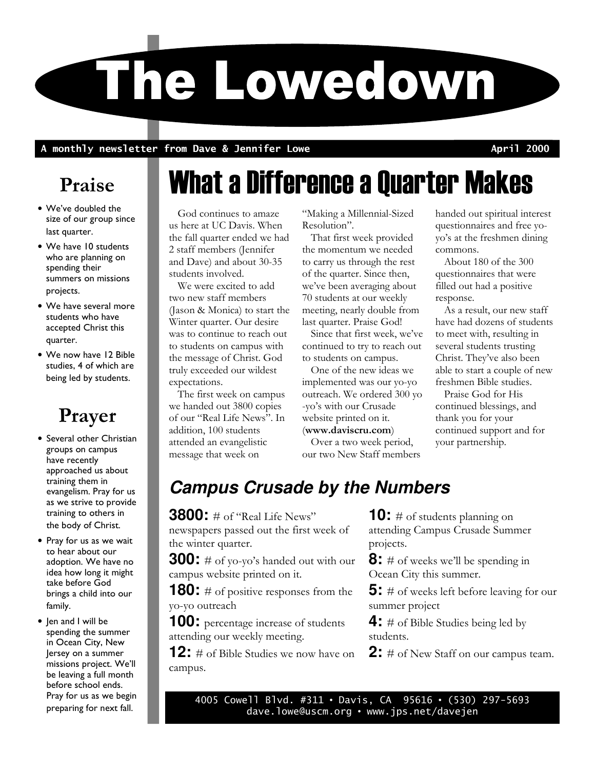# The Lowedown

#### monthly newsletter from Dave & Jennifer Lowe April 2000 April 2000

- We've doubled the size of our group since last quarter.
- We have 10 students who are planning on spending their summers on missions projects.
- We have several more students who have accepted Christ this quarter.
- We now have 12 Bible studies, 4 of which are being led by students.

### Prayer

- Several other Christian groups on campus have recently approached us about training them in evangelism. Pray for us as we strive to provide training to others in the body of Christ.
- Pray for us as we wait to hear about our adoption. We have no idea how long it might take before God brings a child into our family.
- Jen and I will be spending the summer in Ocean City, New Jersey on a summer missions project. We'll be leaving a full month before school ends. Pray for us as we begin preparing for next fall.

## Praise What a Difference a Quarter Makes

 God continues to amaze us here at UC Davis. When the fall quarter ended we had 2 staff members (Jennifer and Dave) and about 30-35 students involved.

 We were excited to add two new staff members (Jason & Monica) to start the Winter quarter. Our desire was to continue to reach out to students on campus with the message of Christ. God truly exceeded our wildest expectations.

 The first week on campus we handed out 3800 copies of our "Real Life News". In addition, 100 students attended an evangelistic message that week on

"Making a Millennial-Sized Resolution".

 That first week provided the momentum we needed to carry us through the rest of the quarter. Since then, we've been averaging about 70 students at our weekly meeting, nearly double from last quarter. Praise God!

 Since that first week, we've continued to try to reach out to students on campus.

 One of the new ideas we implemented was our yo-yo outreach. We ordered 300 yo -yo's with our Crusade website printed on it. (www.daviscru.com)

 Over a two week period, our two New Staff members handed out spiritual interest questionnaires and free yoyo's at the freshmen dining commons.

 About 180 of the 300 questionnaires that were filled out had a positive response.

 As a result, our new staff have had dozens of students to meet with, resulting in several students trusting Christ. They've also been able to start a couple of new freshmen Bible studies.

 Praise God for His continued blessings, and thank you for your continued support and for your partnership.

#### **Campus Crusade by the Numbers**

#### **3800:** # of "Real Life News"

newspapers passed out the first week of the winter quarter.

**300:** # of yo-yo's handed out with our campus website printed on it.

**180:** # of positive responses from the yo-yo outreach

**100:** percentage increase of students attending our weekly meeting.

**12:** # of Bible Studies we now have on campus.

**10:** # of students planning on attending Campus Crusade Summer projects.

**8:** # of weeks we'll be spending in Ocean City this summer.

**5:** # of weeks left before leaving for our summer project

4: # of Bible Studies being led by students.

**2:** # of New Staff on our campus team.

4005 Cowell Blvd. #311 • Davis, CA 95616 • (530) 297-5693 dave.lowe@uscm.org • www.jps.net/davejen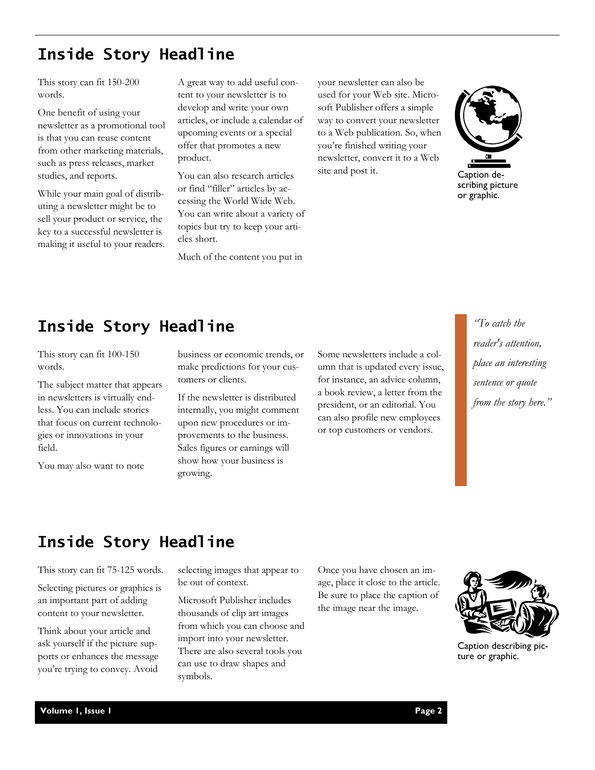#### Inside Story Headline

This story can fit 150-200 words.

One benefit of using your newsletter as a promotional tool is that you can reuse content from other marketing materials, such as press releases, market studies, and reports.

While your main goal of distributing a newsletter might be to sell your product or service, the key to a successful newsletter is making it useful to your readers.

A great way to add useful content to your newsletter is to develop and write your own articles, or include a calendar of upcoming events or a special offer that promotes a new product.

You can also research articles or find "filler" articles by accessing the World Wide Web. You can write about a variety of topics but try to keep your articles short.

Much of the content you put in

your newsletter can also be used for your Web site. Microsoft Publisher offers a simple way to convert your newsletter to a Web publication. So, when you're finished writing your newsletter, convert it to a Web site and post it.



Caption describing picture or graphic.

#### Inside Story Headline

This story can fit 100-150 words.

The subject matter that appears in newsletters is virtually endless. You can include stories that focus on current technologies or innovations in your field.

You may also want to note

business or economic trends, or make predictions for your customers or clients.

If the newsletter is distributed internally, you might comment upon new procedures or improvements to the business. Sales figures or earnings will show how your business is growing.

Some newsletters include a column that is updated every issue, for instance, an advice column, a book review, a letter from the president, or an editorial. You can also profile new employees or top customers or vendors.

"To catch the reader's attention, place an interesting sentence or quote from the story here."

#### Inside Story Headline

This story can fit 75-125 words.

Selecting pictures or graphics is an important part of adding content to your newsletter.

Think about your article and ask yourself if the picture supports or enhances the message you're trying to convey. Avoid selecting images that appear to be out of context.

Microsoft Publisher includes thousands of clip art images from which you can choose and import into your newsletter. There are also several tools you can use to draw shapes and symbols.

Once you have chosen an image, place it close to the article. Be sure to place the caption of the image near the image.



Caption describing picture or graphic.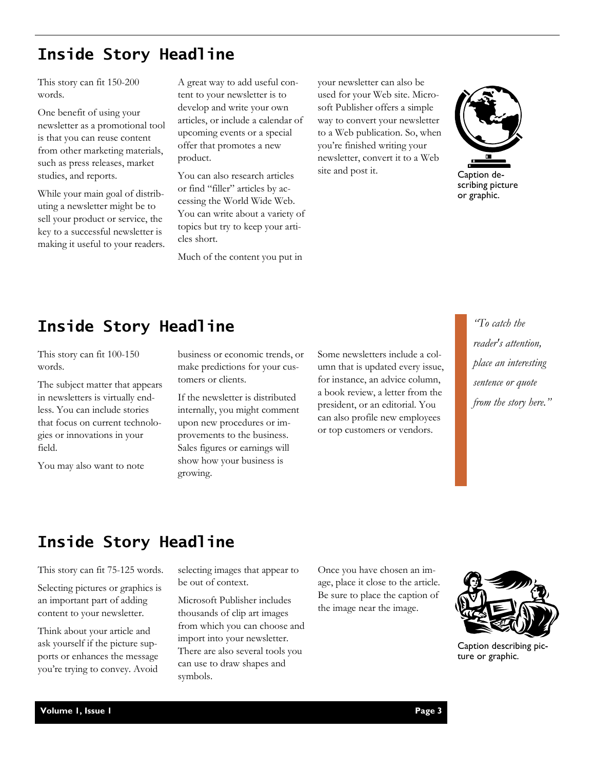#### Inside Story Headline

This story can fit 150-200 words.

One benefit of using your newsletter as a promotional tool is that you can reuse content from other marketing materials, such as press releases, market studies, and reports.

While your main goal of distributing a newsletter might be to sell your product or service, the key to a successful newsletter is making it useful to your readers.

A great way to add useful content to your newsletter is to develop and write your own articles, or include a calendar of upcoming events or a special offer that promotes a new product.

You can also research articles or find "filler" articles by accessing the World Wide Web. You can write about a variety of topics but try to keep your articles short.

Much of the content you put in

your newsletter can also be used for your Web site. Microsoft Publisher offers a simple way to convert your newsletter to a Web publication. So, when you're finished writing your newsletter, convert it to a Web site and post it.



Caption describing picture or graphic.

#### Inside Story Headline

This story can fit 100-150 words.

The subject matter that appears in newsletters is virtually endless. You can include stories that focus on current technologies or innovations in your field.

You may also want to note

business or economic trends, or make predictions for your customers or clients.

If the newsletter is distributed internally, you might comment upon new procedures or improvements to the business. Sales figures or earnings will show how your business is growing.

Some newsletters include a column that is updated every issue, for instance, an advice column, a book review, a letter from the president, or an editorial. You can also profile new employees or top customers or vendors.

"To catch the reader's attention, place an interesting sentence or quote from the story here."

#### Inside Story Headline

This story can fit 75-125 words.

Selecting pictures or graphics is an important part of adding content to your newsletter.

Think about your article and ask yourself if the picture supports or enhances the message you're trying to convey. Avoid selecting images that appear to be out of context.

Microsoft Publisher includes thousands of clip art images from which you can choose and import into your newsletter. There are also several tools you can use to draw shapes and symbols.

Once you have chosen an image, place it close to the article. Be sure to place the caption of the image near the image.



Caption describing picture or graphic.